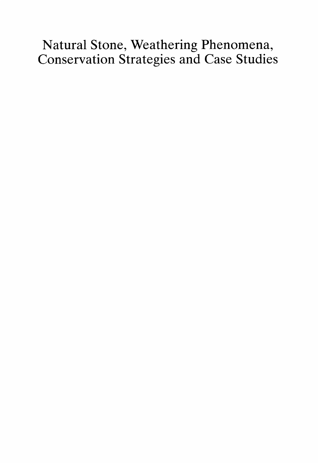# Natural Stone, Weathering Phenomena, Conservation Strategies and Case Studies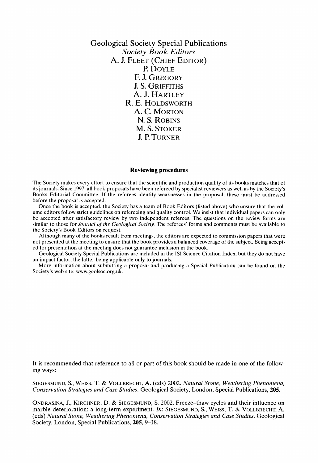Geological Society Special Publications *Society Book Editors*  A. J. FLEET (CHIEF EDITOR) P. DOYLE **E J.** GREGORY J. S. GRIFFITHS A. J. HARTLEY R. E. HOLDSWORTH A. C. MORTON **N. S.** ROBINS **M. S.** STOKER J. P. TURNER

#### **Reviewing procedures**

The Society makes every effort to ensure thal the scientific and production quality of its books matches that of its journals. Since 1997, all book proposals have been refereed by specialist reviewers as wcll as by the Society's Books Editorial Committee. If the referees identify weaknesses in the proposal, these must be addressed before the proposal is accepted.

Once the book is accepted, the Society has a team of Book Editors (listed above) who ensure that the volume editors follow strict guidelines on refereeing and quality control. We insist that individual papers can only be accepted after satisfactory review by two independent referees. The questions on the review forms are similar to those for *Journal of the Geological Society*. The referees' forms and comments must be available to the Society's Book Editors on request.

Although many of the books result from meetings, the editors are expected to commission papers that were not presented at the meeting to ensure that the book provides a balanced coverage of the subject. Being accepted for presentation at the meeting does not guarantee inclusion in the book.

Geological Society Special Publications are included in the ISI Science Citation Index, but they do not have an impact factor, the latter being applicable only to journals.

More information about submitting a proposal and producing a Special Publication can be found on the Society's web site: www.geolsoc.org.uk.

It is recommended that reference to all or part of this book should be made in one of the following ways:

SIEGESMUND, S., WEISS, T. & VOLLBRECHT, A. (eds) 2002. *Natural Stone, Weathering Phenomena, Conservation Strategies and Case Studies.* Geological Society, London, Special Publications, 205.

ONDRASINA, J., KIRCHNER, D. & SIEGESMUND, S. 2002. Freeze-thaw cycles and their influence on marble deterioration: a long-term experiment. *In*: SIEGESMUND, S., WEISS, T. & VOLLBRECHT, A. (eds) *Natural Stone, Weathering Phenomena, Conservation Strategies and Case Studies.* Geological Society, London, Special Publications, 205, 9-18.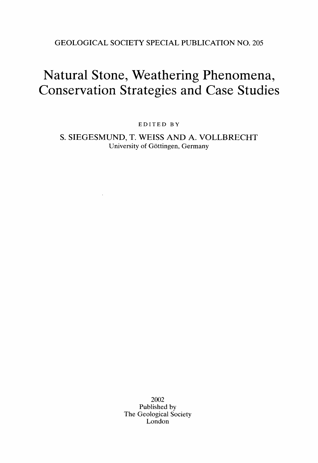GEOLOGICAL SOCIETY SPECIAL PUBLICATION NO. 205

# **Natural Stone, Weathering Phenomena, Conservation Strategies and Case Studies**

EDITED BY

S. SIEGESMUND, T. WEISS AND A. VOLLBRECHT University of G6ttingen, **Germany** 

> 2002 Published by The Geological Society London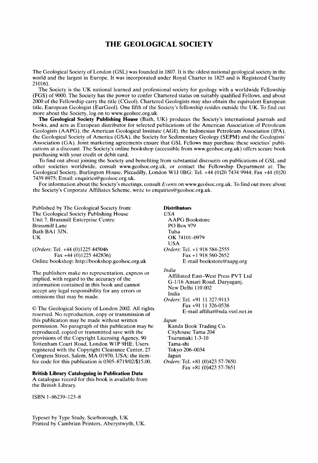### **THE GEOLOGICAL SOCIETY**

The Geological Society of London (GSL) was founded in 1807. It is the oldest national geological society in the world and the largest in Europe. It was incorporated under Royal Charter in 1825 and is Registered Charity 21O161.

The Society is the UK national learned and professional society for geology with a worldwide Fellowship (FGS) of 9000. The Society has the power to confer Chartered status on suitably qualified Fellows, and about 2000 of the Fellowship carry the title (CGeol). Chartered Geologists may also obtain the equivalent European title, European Geologist (EurGeol). One fifth of the Society's fellowship resides outside the UK. To find out more about the Society, log on to www.geolsoc.org.uk.

**The Geological Society Publishing House** (Bath, UK) produces the Society's international journals and books, and acts as European distributor for selected publications of the American Association of Petroleum Geologists (AAPG), the American Geological Institute (AGI), the Indonesian Petroleum Association (IPA), the Geological Society of America (GSA), the Society for Sedimentary Geology (SEPM) and the Geologists' Association (GA). Joint marketing agreements ensure that GSL Fellows may purchase these societies" publications at a discount. The Society's online bookshop (accessible from www.geolsoc.org.uk) offers secure book purchasing with your credit or debit card.

To find out about joining the Society and benefiting from substantial discounts on publications of GSL and other societies worldwide, consult www.geolsoc.org.uk, or contact the Fellowship Department at: The Geological Society, Burlington House, Piccadilly, London WIJ 0BG: Tel. +44 (0)20 7434 9944: Fax +44 (0)20 7439 8975: Email: enquiries@geolsoc.org.uk.

For information about the Society's meetings, consult *Events* on www.geolsoc.org.uk. To find out more about the Society's Corporate Affiliates Scheme, write to cnquiries@geolsoc.org.uk.

Published by The Geological Society from: The Geological Society Publishing House Unit 7, Brassmill Enterprise Centre Brassmill Lane Bath BA1 3JN, UK

*(Orders: Tel. +44 (0)1225 445046* Fax +44 (0)1225 442836) Online bookshop: http://bookshop.geolsoc.org.uk

The publishers make no representation, express or implied, with regard to the accuracy of the information contained in this book and cannot accept any legal responsibility for any errors or omissions that may be made.

9 The Geological Society of London 2002. All rights reserved. No reproduction, copy or transmission of this publication may be made without written permission. No paragraph of this publication may be reproduced, copied or transmitted save with the provisions of the Copyright Licensing Agency, 90 Tottenham Court Road, London W1P 9HE. Users registered with the Copyright Clearance Center, 27 Congress Street, Salem, MA 01970, USA: the itemfee code for this publication is 0305-8719/02/\$15.00.

#### **British Library Cataloguing in Publication Data**

A catalogue record for this book is available from the British Library.

ISBN 1-86239-123-8

Typeset by Type Study, Scarborough, UK Printed by Cambrian Printers, Aberystwyth, UK.

#### **Distributors**

*USA*  AAPG Bookstore PO Box 979 Tulsa OK 74101-0979 USA *Orders:* Tel. +1 918 584-2555 Fax +1 918 560-2652 E-mail bookstore@aapg.org *India* 

Affiliated East-West Press PVT Ltd G-l/16 Ansari Road, Daryaganj, New Delhi 110 002 India *Orders:* Tel. +91 11 327-9113 Fax +91 11 326-0538 E-mail affiliat@nda.vsnl.net.in

*Japan* 

Kanda Book Trading Co. Cityhouse Tama 204 Tsurumaki 1-3-10 Tama-shi Tokyo 206-0034 Japan *Orders:* Tel. +81 (0)423 57-7651) Fax +81 (0)423 57-7651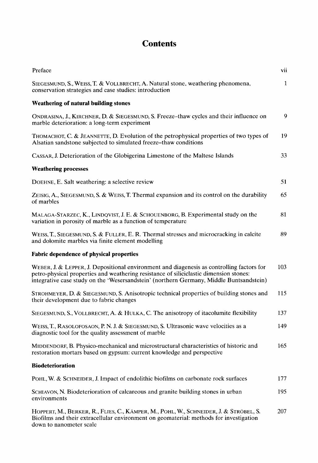# **Contents**

| Preface                                                                                                                                                                                                                                                                        | vii          |
|--------------------------------------------------------------------------------------------------------------------------------------------------------------------------------------------------------------------------------------------------------------------------------|--------------|
| SIEGESMUND, S., WEISS, T. & VOLLBRECHT, A. Natural stone, weathering phenomena,<br>conservation strategies and case studies: introduction                                                                                                                                      | $\mathbf{1}$ |
| <b>Weathering of natural building stones</b>                                                                                                                                                                                                                                   |              |
| ONDRASINA, J., KIRCHNER, D. & SIEGESMUND, S. Freeze-thaw cycles and their influence on<br>marble deterioration: a long-term experiment                                                                                                                                         | 9            |
| THOMACHOT, C. & JEANNETTE, D. Evolution of the petrophysical properties of two types of<br>Alsatian sandstone subjected to simulated freeze–thaw conditions                                                                                                                    | 19           |
| CASSAR, J. Deterioration of the Globigerina Limestone of the Maltese Islands                                                                                                                                                                                                   | 33           |
| <b>Weathering processes</b>                                                                                                                                                                                                                                                    |              |
| DOEHNE, E. Salt weathering: a selective review                                                                                                                                                                                                                                 | 51           |
| ZEISIG, A., SIEGESMUND, S. & WEISS, T. Thermal expansion and its control on the durability<br>of marbles                                                                                                                                                                       | 65           |
| MALAGA-STARZEC, K., LINDQVIST, J. E. & SCHOUENBORG, B. Experimental study on the<br>variation in porosity of marble as a function of temperature                                                                                                                               | 81           |
| WEISS, T., SIEGESMUND, S. & FULLER, E. R. Thermal stresses and microcracking in calcite<br>and dolomite marbles via finite element modelling                                                                                                                                   | 89           |
| <b>Fabric dependence of physical properties</b>                                                                                                                                                                                                                                |              |
| WEBER, J. & LEPPER, J. Depositional environment and diagenesis as controlling factors for<br>petro-physical properties and weathering resistance of siliciclastic dimension stones:<br>integrative case study on the 'Wesersandstein' (northern Germany, Middle Buntsandstein) | 103          |
| STROHMEYER, D. & SIEGESMUND, S. Anisotropic technical properties of building stones and<br>their development due to fabric changes                                                                                                                                             | 115          |
| SIEGESMUND, S., VOLLBRECHT, A. & HULKA, C. The anisotropy of itacolumite flexibility                                                                                                                                                                                           | 137          |
| WEISS, T., RASOLOFOSAON, P. N. J. & SIEGESMUND, S. Ultrasonic wave velocities as a<br>diagnostic tool for the quality assessment of marble                                                                                                                                     | 149          |
| MIDDENDORF, B. Physico-mechanical and microstructural characteristics of historic and<br>restoration mortars based on gypsum: current knowledge and perspective                                                                                                                | 165          |
| <b>Biodeterioration</b>                                                                                                                                                                                                                                                        |              |
| POHL, W. & SCHNEIDER, J. Impact of endolithic biofilms on carbonate rock surfaces                                                                                                                                                                                              | 177          |
| SCHIAVON, N. Biodeterioration of calcareous and granite building stones in urban<br>environments                                                                                                                                                                               | 195          |
| HOPPERT, M., BERKER, R., FLIES, C., KÄMPER, M., POHL, W., SCHNEIDER, J. & STRÖBEL, S.<br>Biofilms and their extracellular environment on geomaterial: methods for investigation                                                                                                | 207          |

down to nanometer scale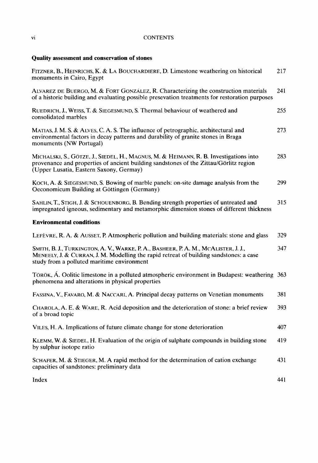#### vi CONTENTS

## **Quality assessment and conservation of stones**

| FITZNER, B., HEINRICHS, K. & LA BOUCHARDIERE, D. Limestone weathering on historical<br>monuments in Cairo, Egypt                                                                                                            | 217 |
|-----------------------------------------------------------------------------------------------------------------------------------------------------------------------------------------------------------------------------|-----|
| ALVAREZ DE BUERGO, M. & FORT GONZÁLEZ, R. Characterizing the construction materials<br>of a historic building and evaluating possible presevation treatments for restoration purposes                                       | 241 |
| RUEDRICH, J., WEISS, T. & SIEGESMUND, S. Thermal behaviour of weathered and<br>consolidated marbles                                                                                                                         | 255 |
| MATIAS, J. M. S. & ALVES, C. A. S. The influence of petrographic, architectural and<br>environmental factors in decay patterns and durability of granite stones in Braga<br>monuments (NW Portugal)                         | 273 |
| MICHALSKI, S., GÖTZE, J., SIEDEL, H., MAGNUS, M. & HEIMANN, R. B. Investigations into<br>provenance and properties of ancient building sandstones of the Zittau/Görlitz region<br>(Upper Lusatia, Eastern Saxony, Germay)   | 283 |
| Косн, A. & SIEGESMUND, S. Bowing of marble panels: on-site damage analysis from the<br>Oeconomicum Building at Göttingen (Germany)                                                                                          | 299 |
| SAHLIN, T., STIGH, J. & SCHOUENBORG, B. Bending strength properties of untreated and<br>impregnated igneous, sedimentary and metamorphic dimension stones of different thickness                                            | 315 |
| <b>Environmental conditions</b>                                                                                                                                                                                             |     |
| LEFÈVRE, R. A. & AUSSET, P. Atmospheric pollution and building materials: stone and glass                                                                                                                                   | 329 |
| SMITH, B. J., TURKINGTON, A. V., WARKE, P. A., BASHEER, P. A. M., MCALISTER, J. J.,<br>MENEELY, J. & CURRAN, J. M. Modelling the rapid retreat of building sandstones: a case<br>study from a polluted maritime environment | 347 |
| TÖRÖK, A. Oolitic limestone in a polluted atmospheric environment in Budapest: weathering 363<br>phenomena and alterations in physical properties                                                                           |     |
| FASSINA, V., FAVARO, M. & NACCARI, A. Principal decay patterns on Venetian monuments                                                                                                                                        | 381 |
| CHAROLA, A. E. & WARE, R. Acid deposition and the deterioration of stone: a brief review<br>of a broad topic                                                                                                                | 393 |
| VILES, H. A. Implications of future climate change for stone deterioration                                                                                                                                                  | 407 |
| KLEMM, W. & SIEDEL, H. Evaluation of the origin of sulphate compounds in building stone<br>by sulphur isotope ratio                                                                                                         | 419 |
| SCHAFER, M. & STIEGER, M. A rapid method for the determination of cation exchange<br>capacities of sandstones: preliminary data                                                                                             | 431 |
| Index                                                                                                                                                                                                                       | 441 |